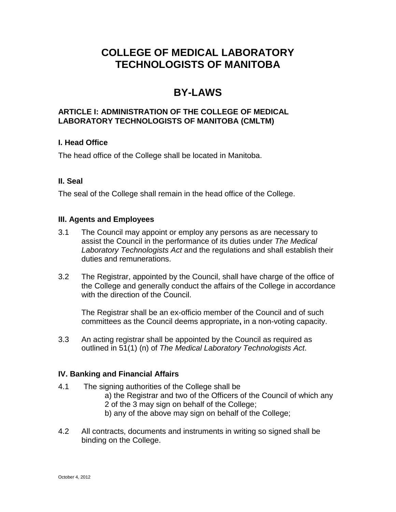# **COLLEGE OF MEDICAL LABORATORY TECHNOLOGISTS OF MANITOBA**

# **BY-LAWS**

# **ARTICLE I: ADMINISTRATION OF THE COLLEGE OF MEDICAL LABORATORY TECHNOLOGISTS OF MANITOBA (CMLTM)**

# **I. Head Office**

The head office of the College shall be located in Manitoba.

# **II. Seal**

The seal of the College shall remain in the head office of the College.

#### **III. Agents and Employees**

- 3.1 The Council may appoint or employ any persons as are necessary to assist the Council in the performance of its duties under *The Medical Laboratory Technologists Act* and the regulations and shall establish their duties and remunerations.
- 3.2 The Registrar, appointed by the Council, shall have charge of the office of the College and generally conduct the affairs of the College in accordance with the direction of the Council.

The Registrar shall be an ex-officio member of the Council and of such committees as the Council deems appropriate**,** in a non-voting capacity.

3.3 An acting registrar shall be appointed by the Council as required as outlined in 51(1) (n) of *The Medical Laboratory Technologists Act*.

# **IV. Banking and Financial Affairs**

- 4.1 The signing authorities of the College shall be a) the Registrar and two of the Officers of the Council of which any
	- 2 of the 3 may sign on behalf of the College;
	- b) any of the above may sign on behalf of the College;
- 4.2 All contracts, documents and instruments in writing so signed shall be binding on the College.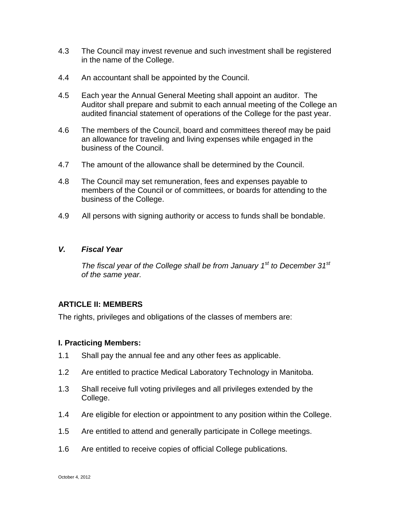- 4.3 The Council may invest revenue and such investment shall be registered in the name of the College.
- 4.4 An accountant shall be appointed by the Council.
- 4.5 Each year the Annual General Meeting shall appoint an auditor. The Auditor shall prepare and submit to each annual meeting of the College an audited financial statement of operations of the College for the past year.
- 4.6 The members of the Council, board and committees thereof may be paid an allowance for traveling and living expenses while engaged in the business of the Council.
- 4.7 The amount of the allowance shall be determined by the Council.
- 4.8 The Council may set remuneration, fees and expenses payable to members of the Council or of committees, or boards for attending to the business of the College.
- 4.9 All persons with signing authority or access to funds shall be bondable.

#### *V. Fiscal Year*

*The fiscal year of the College shall be from January 1st to December 31st of the same year.*

# **ARTICLE II: MEMBERS**

The rights, privileges and obligations of the classes of members are:

# **I. Practicing Members:**

- 1.1 Shall pay the annual fee and any other fees as applicable.
- 1.2 Are entitled to practice Medical Laboratory Technology in Manitoba.
- 1.3 Shall receive full voting privileges and all privileges extended by the College.
- 1.4 Are eligible for election or appointment to any position within the College.
- 1.5 Are entitled to attend and generally participate in College meetings.
- 1.6 Are entitled to receive copies of official College publications.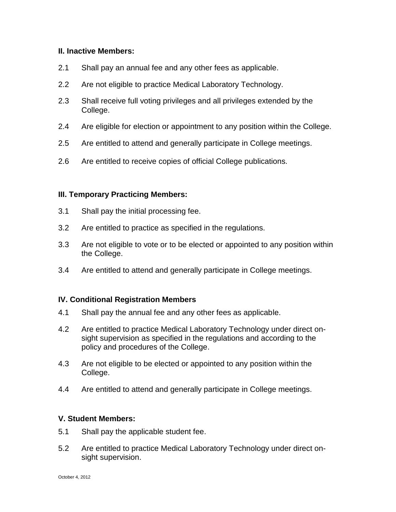## **II. Inactive Members:**

- 2.1 Shall pay an annual fee and any other fees as applicable.
- 2.2 Are not eligible to practice Medical Laboratory Technology.
- 2.3 Shall receive full voting privileges and all privileges extended by the College.
- 2.4 Are eligible for election or appointment to any position within the College.
- 2.5 Are entitled to attend and generally participate in College meetings.
- 2.6 Are entitled to receive copies of official College publications.

# **III. Temporary Practicing Members:**

- 3.1 Shall pay the initial processing fee.
- 3.2 Are entitled to practice as specified in the regulations.
- 3.3 Are not eligible to vote or to be elected or appointed to any position within the College.
- 3.4 Are entitled to attend and generally participate in College meetings.

#### **IV. Conditional Registration Members**

- 4.1 Shall pay the annual fee and any other fees as applicable.
- 4.2 Are entitled to practice Medical Laboratory Technology under direct onsight supervision as specified in the regulations and according to the policy and procedures of the College.
- 4.3 Are not eligible to be elected or appointed to any position within the College.
- 4.4 Are entitled to attend and generally participate in College meetings.

#### **V. Student Members:**

- 5.1 Shall pay the applicable student fee.
- 5.2 Are entitled to practice Medical Laboratory Technology under direct onsight supervision.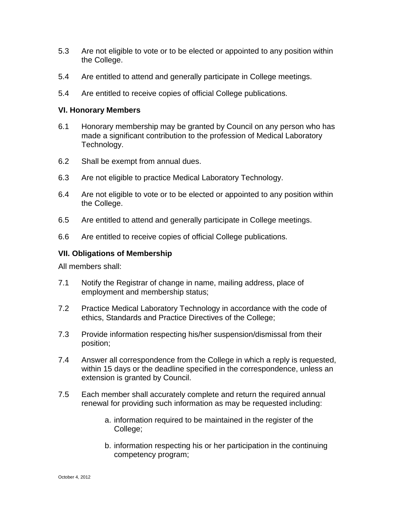- 5.3 Are not eligible to vote or to be elected or appointed to any position within the College.
- 5.4 Are entitled to attend and generally participate in College meetings.
- 5.4 Are entitled to receive copies of official College publications.

#### **VI. Honorary Members**

- 6.1 Honorary membership may be granted by Council on any person who has made a significant contribution to the profession of Medical Laboratory Technology.
- 6.2 Shall be exempt from annual dues.
- 6.3 Are not eligible to practice Medical Laboratory Technology.
- 6.4 Are not eligible to vote or to be elected or appointed to any position within the College.
- 6.5 Are entitled to attend and generally participate in College meetings.
- 6.6 Are entitled to receive copies of official College publications.

## **VII. Obligations of Membership**

All members shall:

- 7.1 Notify the Registrar of change in name, mailing address, place of employment and membership status;
- 7.2 Practice Medical Laboratory Technology in accordance with the code of ethics, Standards and Practice Directives of the College;
- 7.3 Provide information respecting his/her suspension/dismissal from their position;
- 7.4 Answer all correspondence from the College in which a reply is requested, within 15 days or the deadline specified in the correspondence, unless an extension is granted by Council.
- 7.5 Each member shall accurately complete and return the required annual renewal for providing such information as may be requested including:
	- a. information required to be maintained in the register of the College;
	- b. information respecting his or her participation in the continuing competency program;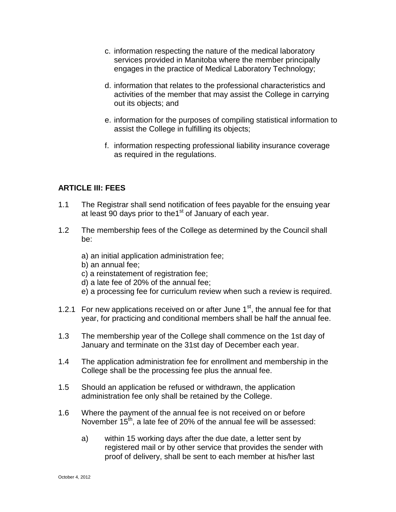- c. information respecting the nature of the medical laboratory services provided in Manitoba where the member principally engages in the practice of Medical Laboratory Technology;
- d. information that relates to the professional characteristics and activities of the member that may assist the College in carrying out its objects; and
- e. information for the purposes of compiling statistical information to assist the College in fulfilling its objects;
- f. information respecting professional liability insurance coverage as required in the regulations.

# **ARTICLE III: FEES**

- 1.1 The Registrar shall send notification of fees payable for the ensuing year at least 90 days prior to the1<sup>st</sup> of January of each year.
- 1.2 The membership fees of the College as determined by the Council shall be:
	- a) an initial application administration fee;
	- b) an annual fee;
	- c) a reinstatement of registration fee;
	- d) a late fee of 20% of the annual fee;
	- e) a processing fee for curriculum review when such a review is required.
- 1.2.1 For new applications received on or after June  $1<sup>st</sup>$ , the annual fee for that year, for practicing and conditional members shall be half the annual fee.
- 1.3 The membership year of the College shall commence on the 1st day of January and terminate on the 31st day of December each year.
- 1.4 The application administration fee for enrollment and membership in the College shall be the processing fee plus the annual fee.
- 1.5 Should an application be refused or withdrawn, the application administration fee only shall be retained by the College.
- 1.6 Where the payment of the annual fee is not received on or before November  $15^{th}$ , a late fee of 20% of the annual fee will be assessed:
	- a) within 15 working days after the due date, a letter sent by registered mail or by other service that provides the sender with proof of delivery, shall be sent to each member at his/her last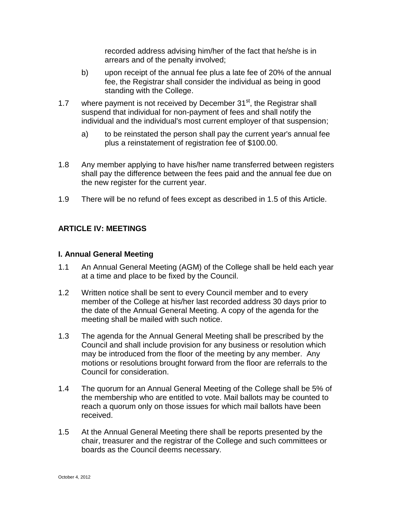recorded address advising him/her of the fact that he/she is in arrears and of the penalty involved;

- b) upon receipt of the annual fee plus a late fee of 20% of the annual fee, the Registrar shall consider the individual as being in good standing with the College.
- 1.7 where payment is not received by December  $31<sup>st</sup>$ , the Registrar shall suspend that individual for non-payment of fees and shall notify the individual and the individual's most current employer of that suspension;
	- a) to be reinstated the person shall pay the current year's annual fee plus a reinstatement of registration fee of \$100.00.
- 1.8 Any member applying to have his/her name transferred between registers shall pay the difference between the fees paid and the annual fee due on the new register for the current year.
- 1.9 There will be no refund of fees except as described in 1.5 of this Article.

# **ARTICLE IV: MEETINGS**

#### **I. Annual General Meeting**

- 1.1 An Annual General Meeting (AGM) of the College shall be held each year at a time and place to be fixed by the Council.
- 1.2 Written notice shall be sent to every Council member and to every member of the College at his/her last recorded address 30 days prior to the date of the Annual General Meeting. A copy of the agenda for the meeting shall be mailed with such notice.
- 1.3 The agenda for the Annual General Meeting shall be prescribed by the Council and shall include provision for any business or resolution which may be introduced from the floor of the meeting by any member. Any motions or resolutions brought forward from the floor are referrals to the Council for consideration.
- 1.4 The quorum for an Annual General Meeting of the College shall be 5% of the membership who are entitled to vote. Mail ballots may be counted to reach a quorum only on those issues for which mail ballots have been received.
- 1.5 At the Annual General Meeting there shall be reports presented by the chair, treasurer and the registrar of the College and such committees or boards as the Council deems necessary.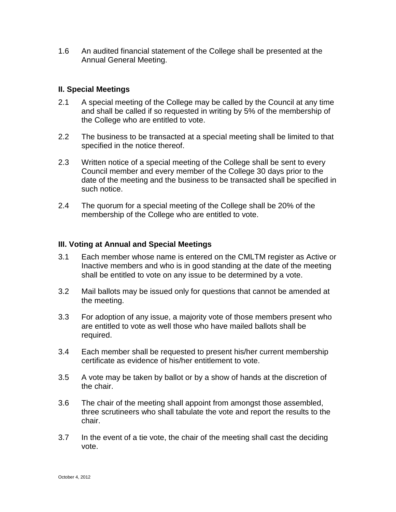1.6 An audited financial statement of the College shall be presented at the Annual General Meeting.

## **II. Special Meetings**

- 2.1 A special meeting of the College may be called by the Council at any time and shall be called if so requested in writing by 5% of the membership of the College who are entitled to vote.
- 2.2 The business to be transacted at a special meeting shall be limited to that specified in the notice thereof.
- 2.3 Written notice of a special meeting of the College shall be sent to every Council member and every member of the College 30 days prior to the date of the meeting and the business to be transacted shall be specified in such notice.
- 2.4 The quorum for a special meeting of the College shall be 20% of the membership of the College who are entitled to vote.

#### **III. Voting at Annual and Special Meetings**

- 3.1 Each member whose name is entered on the CMLTM register as Active or Inactive members and who is in good standing at the date of the meeting shall be entitled to vote on any issue to be determined by a vote.
- 3.2 Mail ballots may be issued only for questions that cannot be amended at the meeting.
- 3.3 For adoption of any issue, a majority vote of those members present who are entitled to vote as well those who have mailed ballots shall be required.
- 3.4 Each member shall be requested to present his/her current membership certificate as evidence of his/her entitlement to vote.
- 3.5 A vote may be taken by ballot or by a show of hands at the discretion of the chair.
- 3.6 The chair of the meeting shall appoint from amongst those assembled, three scrutineers who shall tabulate the vote and report the results to the chair.
- 3.7 In the event of a tie vote, the chair of the meeting shall cast the deciding vote.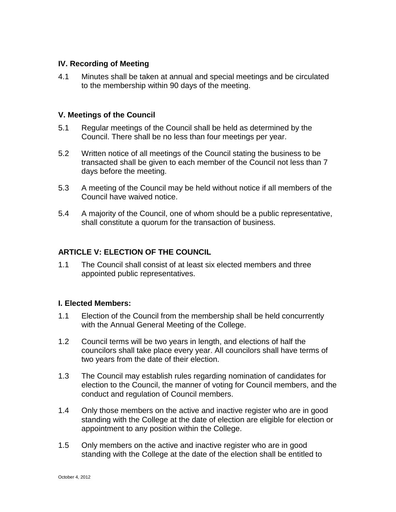# **IV. Recording of Meeting**

4.1 Minutes shall be taken at annual and special meetings and be circulated to the membership within 90 days of the meeting.

#### **V. Meetings of the Council**

- 5.1 Regular meetings of the Council shall be held as determined by the Council. There shall be no less than four meetings per year.
- 5.2 Written notice of all meetings of the Council stating the business to be transacted shall be given to each member of the Council not less than 7 days before the meeting.
- 5.3 A meeting of the Council may be held without notice if all members of the Council have waived notice.
- 5.4 A majority of the Council, one of whom should be a public representative, shall constitute a quorum for the transaction of business.

# **ARTICLE V: ELECTION OF THE COUNCIL**

1.1 The Council shall consist of at least six elected members and three appointed public representatives.

# **I. Elected Members:**

- 1.1 Election of the Council from the membership shall be held concurrently with the Annual General Meeting of the College.
- 1.2 Council terms will be two years in length, and elections of half the councilors shall take place every year. All councilors shall have terms of two years from the date of their election.
- 1.3 The Council may establish rules regarding nomination of candidates for election to the Council, the manner of voting for Council members, and the conduct and regulation of Council members.
- 1.4 Only those members on the active and inactive register who are in good standing with the College at the date of election are eligible for election or appointment to any position within the College.
- 1.5 Only members on the active and inactive register who are in good standing with the College at the date of the election shall be entitled to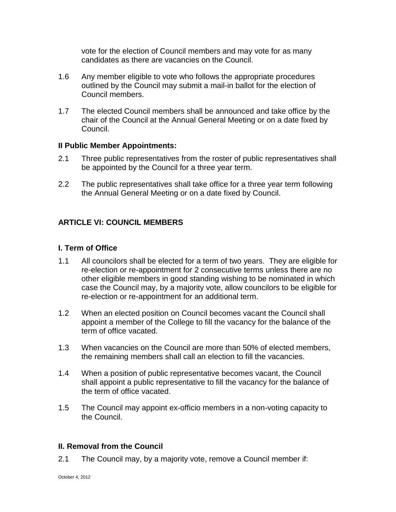vote for the election of Council members and may vote for as many candidates as there are vacancies on the Council.

- 1.6 Any member eligible to vote who follows the appropriate procedures outlined by the Council may submit a mail-in ballot for the election of Council members.
- 1.7 The elected Council members shall be announced and take office by the chair of the Council at the Annual General Meeting or on a date fixed by Council.

#### **II Public Member Appointments:**

- 2.1 Three public representatives from the roster of public representatives shall be appointed by the Council for a three year term.
- 2.2 The public representatives shall take office for a three year term following the Annual General Meeting or on a date fixed by Council.

# **ARTICLE VI: COUNCIL MEMBERS**

# **I. Term of Office**

- 1.1 All councilors shall be elected for a term of two years. They are eligible for re-election or re-appointment for 2 consecutive terms unless there are no other eligible members in good standing wishing to be nominated in which case the Council may, by a majority vote, allow councilors to be eligible for re-election or re-appointment for an additional term.
- 1.2 When an elected position on Council becomes vacant the Council shall appoint a member of the College to fill the vacancy for the balance of the term of office vacated.
- 1.3 When vacancies on the Council are more than 50% of elected members, the remaining members shall call an election to fill the vacancies.
- 1.4 When a position of public representative becomes vacant, the Council shall appoint a public representative to fill the vacancy for the balance of the term of office vacated.
- 1.5 The Council may appoint ex-officio members in a non-voting capacity to the Council.

#### **II. Removal from the Council**

2.1 The Council may, by a majority vote, remove a Council member if: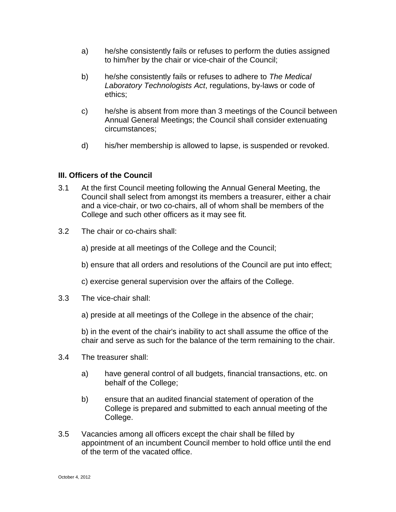- a) he/she consistently fails or refuses to perform the duties assigned to him/her by the chair or vice-chair of the Council;
- b) he/she consistently fails or refuses to adhere to *The Medical Laboratory Technologists Act*, regulations, by-laws or code of ethics;
- c) he/she is absent from more than 3 meetings of the Council between Annual General Meetings; the Council shall consider extenuating circumstances;
- d) his/her membership is allowed to lapse, is suspended or revoked.

# **III. Officers of the Council**

- 3.1 At the first Council meeting following the Annual General Meeting, the Council shall select from amongst its members a treasurer, either a chair and a vice-chair, or two co-chairs, all of whom shall be members of the College and such other officers as it may see fit.
- 3.2 The chair or co-chairs shall:
	- a) preside at all meetings of the College and the Council;
	- b) ensure that all orders and resolutions of the Council are put into effect;
	- c) exercise general supervision over the affairs of the College.
- 3.3 The vice-chair shall:
	- a) preside at all meetings of the College in the absence of the chair;

b) in the event of the chair's inability to act shall assume the office of the chair and serve as such for the balance of the term remaining to the chair.

- 3.4 The treasurer shall:
	- a) have general control of all budgets, financial transactions, etc. on behalf of the College;
	- b) ensure that an audited financial statement of operation of the College is prepared and submitted to each annual meeting of the College.
- 3.5 Vacancies among all officers except the chair shall be filled by appointment of an incumbent Council member to hold office until the end of the term of the vacated office.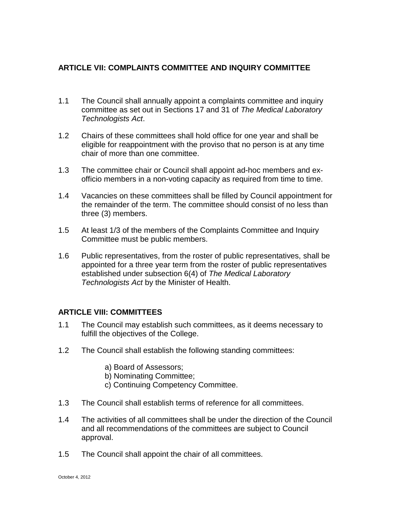# **ARTICLE VII: COMPLAINTS COMMITTEE AND INQUIRY COMMITTEE**

- 1.1 The Council shall annually appoint a complaints committee and inquiry committee as set out in Sections 17 and 31 of *The Medical Laboratory Technologists Act*.
- 1.2 Chairs of these committees shall hold office for one year and shall be eligible for reappointment with the proviso that no person is at any time chair of more than one committee.
- 1.3 The committee chair or Council shall appoint ad-hoc members and exofficio members in a non-voting capacity as required from time to time.
- 1.4 Vacancies on these committees shall be filled by Council appointment for the remainder of the term. The committee should consist of no less than three (3) members.
- 1.5 At least 1/3 of the members of the Complaints Committee and Inquiry Committee must be public members.
- 1.6 Public representatives, from the roster of public representatives, shall be appointed for a three year term from the roster of public representatives established under subsection 6(4) of *The Medical Laboratory Technologists Act* by the Minister of Health.

#### **ARTICLE VIII: COMMITTEES**

- 1.1 The Council may establish such committees, as it deems necessary to fulfill the objectives of the College.
- 1.2 The Council shall establish the following standing committees:
	- a) Board of Assessors;
	- b) Nominating Committee;
	- c) Continuing Competency Committee.
- 1.3 The Council shall establish terms of reference for all committees.
- 1.4 The activities of all committees shall be under the direction of the Council and all recommendations of the committees are subject to Council approval.
- 1.5 The Council shall appoint the chair of all committees.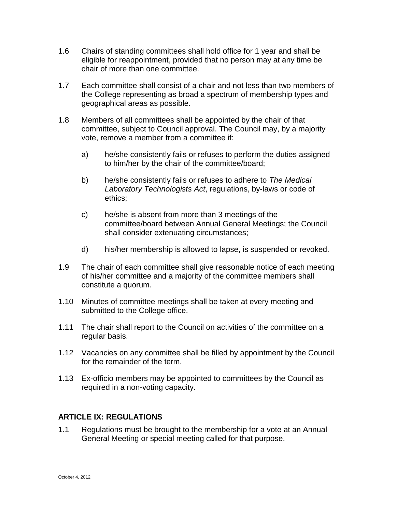- 1.6 Chairs of standing committees shall hold office for 1 year and shall be eligible for reappointment, provided that no person may at any time be chair of more than one committee.
- 1.7 Each committee shall consist of a chair and not less than two members of the College representing as broad a spectrum of membership types and geographical areas as possible.
- 1.8 Members of all committees shall be appointed by the chair of that committee, subject to Council approval. The Council may, by a majority vote, remove a member from a committee if:
	- a) he/she consistently fails or refuses to perform the duties assigned to him/her by the chair of the committee/board;
	- b) he/she consistently fails or refuses to adhere to *The Medical Laboratory Technologists Act*, regulations, by-laws or code of ethics;
	- c) he/she is absent from more than 3 meetings of the committee/board between Annual General Meetings; the Council shall consider extenuating circumstances;
	- d) his/her membership is allowed to lapse, is suspended or revoked.
- 1.9 The chair of each committee shall give reasonable notice of each meeting of his/her committee and a majority of the committee members shall constitute a quorum.
- 1.10 Minutes of committee meetings shall be taken at every meeting and submitted to the College office.
- 1.11 The chair shall report to the Council on activities of the committee on a regular basis.
- 1.12 Vacancies on any committee shall be filled by appointment by the Council for the remainder of the term.
- 1.13 Ex-officio members may be appointed to committees by the Council as required in a non-voting capacity.

# **ARTICLE IX: REGULATIONS**

1.1 Regulations must be brought to the membership for a vote at an Annual General Meeting or special meeting called for that purpose.